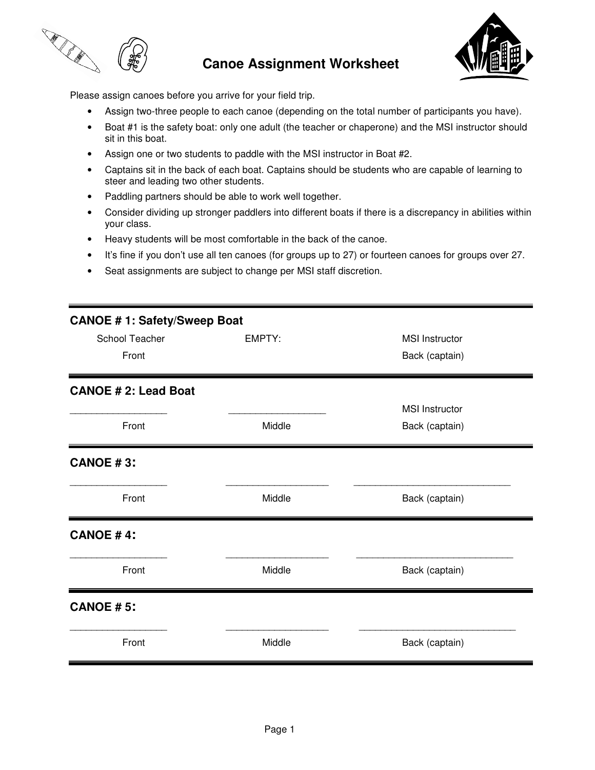

## **Canoe Assignment Worksheet**



Please assign canoes before you arrive for your field trip.

- Assign two-three people to each canoe (depending on the total number of participants you have).
- Boat #1 is the safety boat: only one adult (the teacher or chaperone) and the MSI instructor should sit in this boat.
- Assign one or two students to paddle with the MSI instructor in Boat #2.
- Captains sit in the back of each boat. Captains should be students who are capable of learning to steer and leading two other students.
- Paddling partners should be able to work well together.
- Consider dividing up stronger paddlers into different boats if there is a discrepancy in abilities within your class.
- Heavy students will be most comfortable in the back of the canoe.
- It's fine if you don't use all ten canoes (for groups up to 27) or fourteen canoes for groups over 27.
- Seat assignments are subject to change per MSI staff discretion.

| <b>CANOE #1: Safety/Sweep Boat</b> |        |                       |
|------------------------------------|--------|-----------------------|
| School Teacher                     | EMPTY: | <b>MSI</b> Instructor |
| Front                              |        | Back (captain)        |
| <b>CANOE #2: Lead Boat</b>         |        |                       |
|                                    |        | <b>MSI</b> Instructor |
| Front                              | Middle | Back (captain)        |
| <b>CANOE #3:</b>                   |        |                       |
| Front                              | Middle | Back (captain)        |
| <b>CANOE #4:</b>                   |        |                       |
| Front                              | Middle | Back (captain)        |
| <b>CANOE #5:</b>                   |        |                       |
| Front                              | Middle | Back (captain)        |